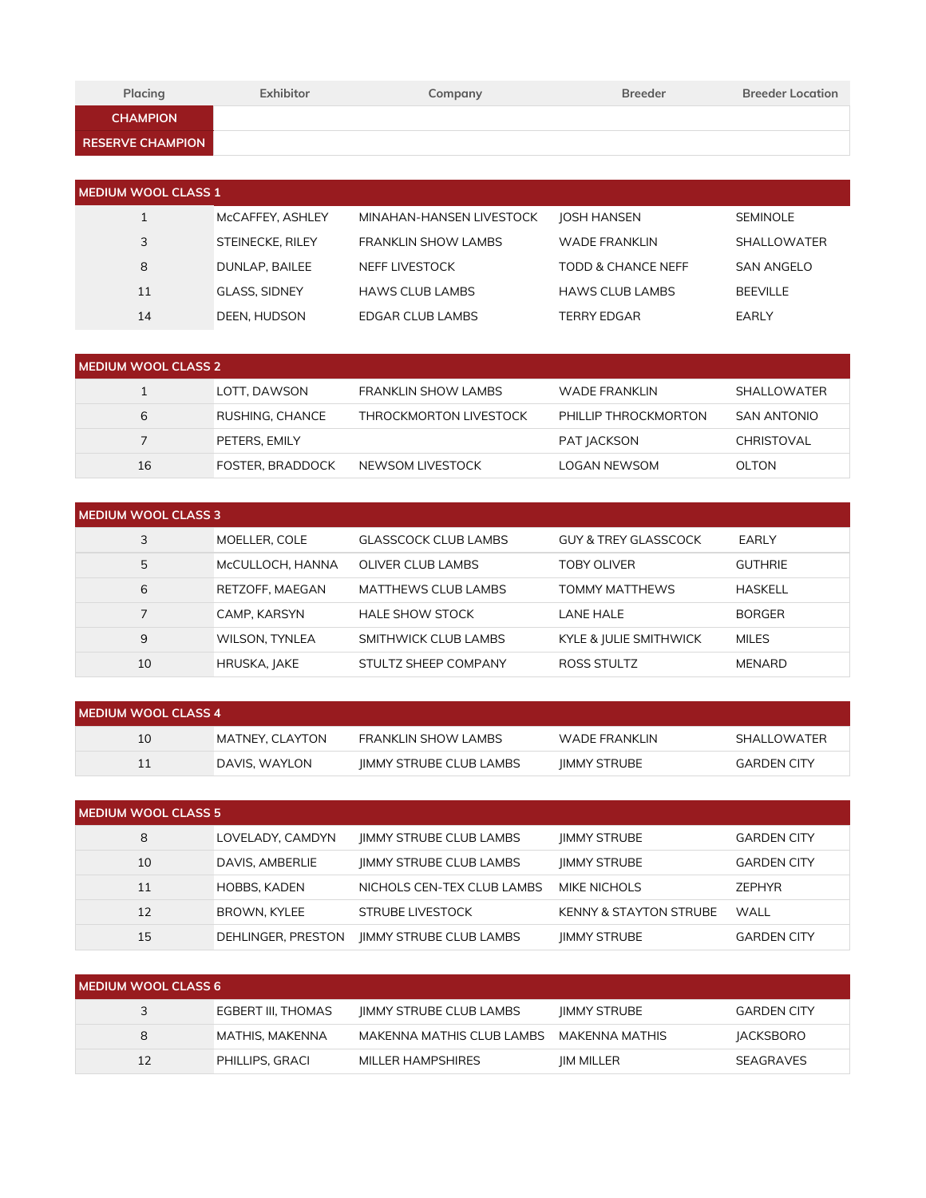| Placing                 | Exhibitor | Company | <b>Breeder</b> | <b>Breeder Location</b> |
|-------------------------|-----------|---------|----------------|-------------------------|
| <b>CHAMPION</b>         |           |         |                |                         |
| <b>RESERVE CHAMPION</b> |           |         |                |                         |

| <b>NEDIUM WOOL CLASS 1</b> |                         |                          |                        |                    |  |  |
|----------------------------|-------------------------|--------------------------|------------------------|--------------------|--|--|
|                            | McCAFFEY, ASHLEY        | MINAHAN-HANSEN LIVESTOCK | <b>JOSH HANSEN</b>     | <b>SEMINOLE</b>    |  |  |
| 3                          | <b>STEINECKE, RILEY</b> | FRANKLIN SHOW LAMBS      | <b>WADE FRANKLIN</b>   | <b>SHALLOWATER</b> |  |  |
| 8                          | DUNLAP, BAILEE          | NEFF LIVESTOCK           | TODD & CHANCE NEFF     | <b>SAN ANGELO</b>  |  |  |
| 11                         | <b>GLASS, SIDNEY</b>    | <b>HAWS CLUB LAMBS</b>   | <b>HAWS CLUB LAMBS</b> | <b>BEEVILLE</b>    |  |  |
| 14                         | DEEN, HUDSON            | EDGAR CLUB LAMBS         | TERRY EDGAR            | EARLY              |  |  |

| MEDIUM WOOL CLASS 2 |                  |                            |                      |                    |  |
|---------------------|------------------|----------------------------|----------------------|--------------------|--|
|                     | LOTT. DAWSON     | <b>FRANKLIN SHOW LAMBS</b> | WADE FRANKLIN        | <b>SHALLOWATER</b> |  |
| 6                   | RUSHING, CHANCE  | THROCKMORTON LIVESTOCK     | PHILLIP THROCKMORTON | <b>SAN ANTONIO</b> |  |
|                     | PETERS, EMILY    |                            | PAT JACKSON          | CHRISTOVAL         |  |
| 16                  | FOSTER, BRADDOCK | NEWSOM LIVESTOCK           | LOGAN NEWSOM         | <b>OLTON</b>       |  |

| <b>MEDIUM WOOL CLASS 3</b> |                       |                             |                                 |                |  |
|----------------------------|-----------------------|-----------------------------|---------------------------------|----------------|--|
| 3                          | MOELLER, COLE         | <b>GLASSCOCK CLUB LAMBS</b> | <b>GUY &amp; TREY GLASSCOCK</b> | EARLY          |  |
| 5                          | MCCULLOCH, HANNA      | <b>OLIVER CLUB LAMBS</b>    | <b>TOBY OLIVER</b>              | <b>GUTHRIE</b> |  |
| 6                          | RETZOFF, MAEGAN       | <b>MATTHEWS CLUB LAMBS</b>  | TOMMY MATTHEWS                  | <b>HASKELL</b> |  |
|                            | CAMP. KARSYN          | <b>HALE SHOW STOCK</b>      | <b>LANE HALE</b>                | <b>BORGER</b>  |  |
| 9                          | <b>WILSON, TYNLEA</b> | SMITHWICK CLUB LAMBS        | KYLE & JULIE SMITHWICK          | <b>MILES</b>   |  |
| 10                         | HRUSKA, JAKE          | STULTZ SHEEP COMPANY        | ROSS STULTZ                     | <b>MENARD</b>  |  |

| <b>I MEDIUM WOOL CLASS 4</b> |                 |                                |               |                    |  |
|------------------------------|-----------------|--------------------------------|---------------|--------------------|--|
| 10                           | MATNEY, CLAYTON | FRANKLIN SHOW LAMBS            | WADE FRANKLIN | SHALLOWATER        |  |
|                              | I DAVIS. WAYLON | <b>IIMMY STRUBE CLUB LAMBS</b> | IIMMY STRUBE  | <b>GARDEN CITY</b> |  |

| <b>MEDIUM WOOL CLASS 5</b> |                     |                                |                                   |                    |  |  |
|----------------------------|---------------------|--------------------------------|-----------------------------------|--------------------|--|--|
| 8                          | LOVELADY, CAMDYN    | <b>IIMMY STRUBE CLUB LAMBS</b> | <b>IIMMY STRUBE</b>               | <b>GARDEN CITY</b> |  |  |
| 10                         | DAVIS, AMBERLIE     | <b>IIMMY STRUBE CLUB LAMBS</b> | <b>IIMMY STRUBE</b>               | <b>GARDEN CITY</b> |  |  |
| 11                         | <b>HOBBS, KADEN</b> | NICHOLS CEN-TEX CLUB LAMBS     | MIKE NICHOLS                      | <b>ZEPHYR</b>      |  |  |
| 12                         | BROWN, KYLEE        | STRUBE LIVESTOCK               | <b>KENNY &amp; STAYTON STRUBE</b> | WALL               |  |  |
| 15                         | DEHLINGER, PRESTON  | <b>IIMMY STRUBE CLUB LAMBS</b> | <b>IIMMY STRUBE</b>               | <b>GARDEN CITY</b> |  |  |

| I MEDIUM WOOL CLASS 6 |                    |                                |                     |                    |  |
|-----------------------|--------------------|--------------------------------|---------------------|--------------------|--|
| 3                     | EGBERT III, THOMAS | <b>IIMMY STRUBE CLUB LAMBS</b> | <b>IIMMY STRUBE</b> | <b>GARDEN CITY</b> |  |
| 8                     | MATHIS, MAKENNA    | MAKENNA MATHIS CLUB LAMBS      | MAKENNA MATHIS      | <b>JACKSBORO</b>   |  |
| 12                    | PHILLIPS, GRACI    | MILLER HAMPSHIRES              | <b>IIM MILLER</b>   | <b>SEAGRAVES</b>   |  |